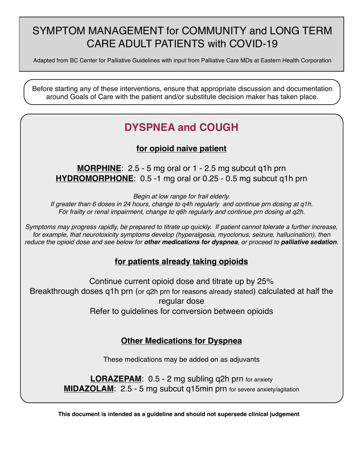## SYMPTOM MANAGEMENT for COMMUNITY and LONG TERM CARE ADULT PATIENTS with COVID-19

Adapted from BC Center for Palliative Guidelines with input from Palliative Care MDs at Eastern Health Corporation

Before starting any of these interventions, ensure that appropriate discussion and documentation around Goals of Care with the patient and/or substitute decision maker has taken place.

## **DYSPNEA and COUGH**

**for opioid naive patient**

**MORPHINE**: 2.5 - 5 mg oral or 1 - 2.5 mg subcut q1h prn **HYDROMORPHONE**: 0.5 -1 mg oral or 0.25 - 0.5 mg subcut q1h prn

*Begin at low range for frail elderly.*

*If greater than 6 doses in 24 hours, change to q4h regularly and continue prn dosing at q1h. For frailty or renal impairment, change to q6h regularly and continue prn dosing at q2h.* 

*Symptoms may progress rapidly, be prepared to titrate up quickly. If patient cannot tolerate a further increase, for example, that neurotoxicity symptoms develop (hyperalgesia, myoclonus, seizure, hallucination), then reduce the opioid dose and see below for other medications for dyspnea, or proceed to palliative sedation.*

### **for patients already taking opioids**

Continue current opioid dose and titrate up by 25% Breakthrough doses q1h prn (or q2h prn for reasons already stated) calculated at half the regular dose Refer to guidelines for conversion between opioids

#### **Other Medications for Dyspnea**

These medications may be added on as adjuvants

**LORAZEPAM**: 0.5 - 2 mg subling q2h prn for anxiety **MIDAZOLAM**: 2.5 - 5 mg subcut q15min prn for severe anxiety/agitation

**This document is intended as a guideline and should not supersede clinical judgement**